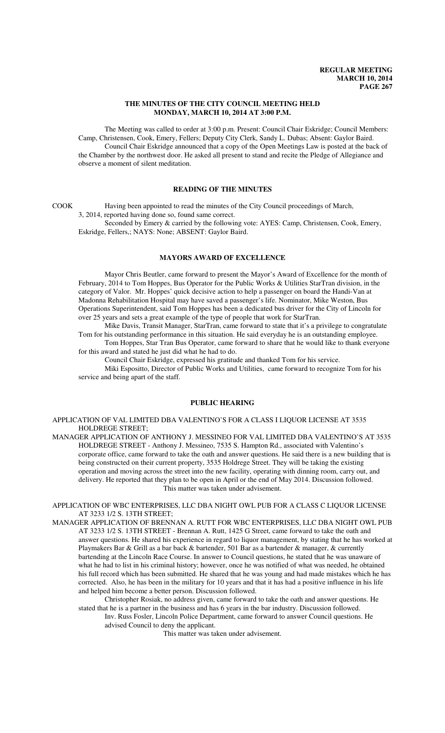#### **THE MINUTES OF THE CITY COUNCIL MEETING HELD MONDAY, MARCH 10, 2014 AT 3:00 P.M.**

The Meeting was called to order at 3:00 p.m. Present: Council Chair Eskridge; Council Members: Camp, Christensen, Cook, Emery, Fellers; Deputy City Clerk, Sandy L. Dubas; Absent: Gaylor Baird. Council Chair Eskridge announced that a copy of the Open Meetings Law is posted at the back of the Chamber by the northwest door. He asked all present to stand and recite the Pledge of Allegiance and observe a moment of silent meditation.

# **READING OF THE MINUTES**

COOK Having been appointed to read the minutes of the City Council proceedings of March, 3, 2014, reported having done so, found same correct. Seconded by Emery & carried by the following vote: AYES: Camp, Christensen, Cook, Emery,

Eskridge, Fellers,; NAYS: None; ABSENT: Gaylor Baird.

# **MAYORS AWARD OF EXCELLENCE**

Mayor Chris Beutler, came forward to present the Mayor's Award of Excellence for the month of February, 2014 to Tom Hoppes, Bus Operator for the Public Works & Utilities StarTran division, in the category of Valor. Mr. Hoppes' quick decisive action to help a passenger on board the Handi-Van at Madonna Rehabilitation Hospital may have saved a passenger's life. Nominator, Mike Weston, Bus Operations Superintendent, said Tom Hoppes has been a dedicated bus driver for the City of Lincoln for over 25 years and sets a great example of the type of people that work for StarTran.

Mike Davis, Transit Manager, StarTran, came forward to state that it's a privilege to congratulate Tom for his outstanding performance in this situation. He said everyday he is an outstanding employee.

Tom Hoppes, Star Tran Bus Operator, came forward to share that he would like to thank everyone for this award and stated he just did what he had to do.

Council Chair Eskridge, expressed his gratitude and thanked Tom for his service.

Miki Espositto, Director of Public Works and Utilities, came forward to recognize Tom for his service and being apart of the staff.

#### **PUBLIC HEARING**

APPLICATION OF VAL LIMITED DBA VALENTINO'S FOR A CLASS I LIQUOR LICENSE AT 3535 HOLDREGE STREET;

MANAGER APPLICATION OF ANTHONY J. MESSINEO FOR VAL LIMITED DBA VALENTINO'S AT 3535 HOLDREGE STREET - Anthony J. Messineo, 7535 S. Hampton Rd., associated with Valentino's corporate office, came forward to take the oath and answer questions. He said there is a new building that is being constructed on their current property, 3535 Holdrege Street. They will be taking the existing operation and moving across the street into the new facility, operating with dinning room, carry out, and delivery. He reported that they plan to be open in April or the end of May 2014. Discussion followed. This matter was taken under advisement.

APPLICATION OF WBC ENTERPRISES, LLC DBA NIGHT OWL PUB FOR A CLASS C LIQUOR LICENSE AT 3233 1/2 S. 13TH STREET;

MANAGER APPLICATION OF BRENNAN A. RUTT FOR WBC ENTERPRISES, LLC DBA NIGHT OWL PUB AT 3233 1/2 S. 13TH STREET - Brennan A. Rutt, 1425 G Street, came forward to take the oath and answer questions. He shared his experience in regard to liquor management, by stating that he has worked at Playmakers Bar & Grill as a bar back & bartender, 501 Bar as a bartender & manager, & currently bartending at the Lincoln Race Course. In answer to Council questions, he stated that he was unaware of what he had to list in his criminal history; however, once he was notified of what was needed, he obtained his full record which has been submitted. He shared that he was young and had made mistakes which he has corrected. Also, he has been in the military for 10 years and that it has had a positive influence in his life and helped him become a better person. Discussion followed.

Christopher Rosiak, no address given, came forward to take the oath and answer questions. He stated that he is a partner in the business and has 6 years in the bar industry. Discussion followed.

Inv. Russ Fosler, Lincoln Police Department, came forward to answer Council questions. He advised Council to deny the applicant.

This matter was taken under advisement.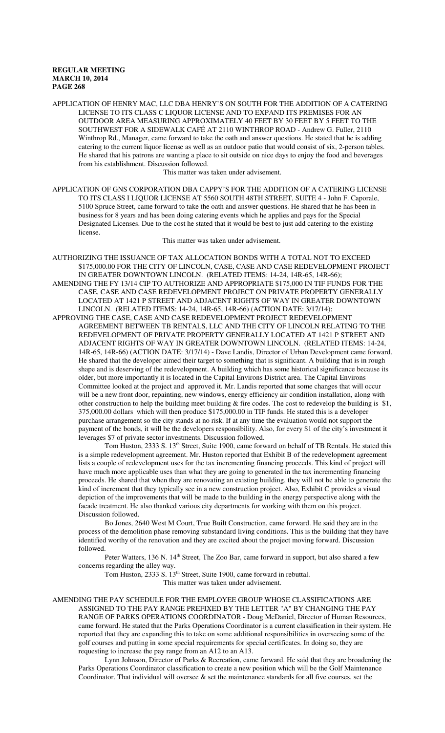APPLICATION OF HENRY MAC, LLC DBA HENRY'S ON SOUTH FOR THE ADDITION OF A CATERING LICENSE TO ITS CLASS C LIQUOR LICENSE AND TO EXPAND ITS PREMISES FOR AN OUTDOOR AREA MEASURING APPROXIMATELY 40 FEET BY 30 FEET BY 5 FEET TO THE SOUTHWEST FOR A SIDEWALK CAFÉ AT 2110 WINTHROP ROAD - Andrew G. Fuller, 2110 Winthrop Rd., Manager, came forward to take the oath and answer questions. He stated that he is adding catering to the current liquor license as well as an outdoor patio that would consist of six, 2-person tables. He shared that his patrons are wanting a place to sit outside on nice days to enjoy the food and beverages from his establishment. Discussion followed.

This matter was taken under advisement.

APPLICATION OF GNS CORPORATION DBA CAPPY'S FOR THE ADDITION OF A CATERING LICENSE TO ITS CLASS I LIQUOR LICENSE AT 5560 SOUTH 48TH STREET, SUITE 4 - John F. Caporale, 5100 Spruce Street, came forward to take the oath and answer questions. He shared that he has been in business for 8 years and has been doing catering events which he applies and pays for the Special Designated Licenses. Due to the cost he stated that it would be best to just add catering to the existing license.

This matter was taken under advisement.

AUTHORIZING THE ISSUANCE OF TAX ALLOCATION BONDS WITH A TOTAL NOT TO EXCEED \$175,000.00 FOR THE CITY OF LINCOLN, CASE, CASE AND CASE REDEVELOPMENT PROJECT IN GREATER DOWNTOWN LINCOLN. (RELATED ITEMS: 14-24, 14R-65, 14R-66); AMENDING THE FY 13/14 CIP TO AUTHORIZE AND APPROPRIATE \$175,000 IN TIF FUNDS FOR THE CASE, CASE AND CASE REDEVELOPMENT PROJECT ON PRIVATE PROPERTY GENERALLY LOCATED AT 1421 P STREET AND ADJACENT RIGHTS OF WAY IN GREATER DOWNTOWN LINCOLN. (RELATED ITEMS: 14-24, 14R-65, 14R-66) (ACTION DATE: 3/17/14);

APPROVING THE CASE, CASE AND CASE REDEVELOPMENT PROJECT REDEVELOPMENT AGREEMENT BETWEEN TB RENTALS, LLC AND THE CITY OF LINCOLN RELATING TO THE REDEVELOPMENT OF PRIVATE PROPERTY GENERALLY LOCATED AT 1421 P STREET AND ADJACENT RIGHTS OF WAY IN GREATER DOWNTOWN LINCOLN. (RELATED ITEMS: 14-24, 14R-65, 14R-66) (ACTION DATE: 3/17/14) - Dave Landis, Director of Urban Development came forward. He shared that the developer aimed their target to something that is significant. A building that is in rough shape and is deserving of the redevelopment. A building which has some historical significance because its older, but more importantly it is located in the Capital Environs District area. The Capital Environs Committee looked at the project and approved it. Mr. Landis reported that some changes that will occur will be a new front door, repainting, new windows, energy efficiency air condition installation, along with other construction to help the building meet building & fire codes. The cost to redevelop the building is \$1, 375,000.00 dollars which will then produce \$175,000.00 in TIF funds. He stated this is a developer purchase arrangement so the city stands at no risk. If at any time the evaluation would not support the payment of the bonds, it will be the developers responsibility. Also, for every \$1 of the city's investment it leverages \$7 of private sector investments. Discussion followed.

Tom Huston, 2333 S. 13<sup>th</sup> Street, Suite 1900, came forward on behalf of TB Rentals. He stated this is a simple redevelopment agreement. Mr. Huston reported that Exhibit B of the redevelopment agreement lists a couple of redevelopment uses for the tax incrementing financing proceeds. This kind of project will have much more applicable uses than what they are going to generated in the tax incrementing financing proceeds. He shared that when they are renovating an existing building, they will not be able to generate the kind of increment that they typically see in a new construction project. Also, Exhibit C provides a visual depiction of the improvements that will be made to the building in the energy perspective along with the facade treatment. He also thanked various city departments for working with them on this project. Discussion followed.

Bo Jones, 2640 West M Court, True Built Construction, came forward. He said they are in the process of the demolition phase removing substandard living conditions. This is the building that they have identified worthy of the renovation and they are excited about the project moving forward. Discussion followed.

Peter Watters, 136 N. 14<sup>th</sup> Street, The Zoo Bar, came forward in support, but also shared a few concerns regarding the alley way.

Tom Huston, 2333 S. 13th Street, Suite 1900, came forward in rebuttal.

This matter was taken under advisement.

AMENDING THE PAY SCHEDULE FOR THE EMPLOYEE GROUP WHOSE CLASSIFICATIONS ARE ASSIGNED TO THE PAY RANGE PREFIXED BY THE LETTER "A" BY CHANGING THE PAY RANGE OF PARKS OPERATIONS COORDINATOR - Doug McDaniel, Director of Human Resources, came forward. He stated that the Parks Operations Coordinator is a current classification in their system. He reported that they are expanding this to take on some additional responsibilities in overseeing some of the golf courses and putting in some special requirements for special certificates. In doing so, they are requesting to increase the pay range from an A12 to an A13.

Lynn Johnson, Director of Parks & Recreation, came forward. He said that they are broadening the Parks Operations Coordinator classification to create a new position which will be the Golf Maintenance Coordinator. That individual will oversee & set the maintenance standards for all five courses, set the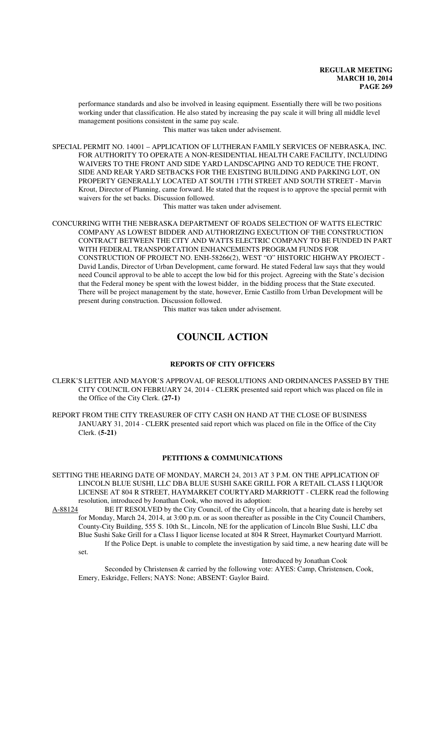performance standards and also be involved in leasing equipment. Essentially there will be two positions working under that classification. He also stated by increasing the pay scale it will bring all middle level management positions consistent in the same pay scale.

This matter was taken under advisement.

SPECIAL PERMIT NO. 14001 – APPLICATION OF LUTHERAN FAMILY SERVICES OF NEBRASKA, INC. FOR AUTHORITY TO OPERATE A NON-RESIDENTIAL HEALTH CARE FACILITY, INCLUDING WAIVERS TO THE FRONT AND SIDE YARD LANDSCAPING AND TO REDUCE THE FRONT, SIDE AND REAR YARD SETBACKS FOR THE EXISTING BUILDING AND PARKING LOT, ON PROPERTY GENERALLY LOCATED AT SOUTH 17TH STREET AND SOUTH STREET - Marvin Krout, Director of Planning, came forward. He stated that the request is to approve the special permit with waivers for the set backs. Discussion followed.

This matter was taken under advisement.

CONCURRING WITH THE NEBRASKA DEPARTMENT OF ROADS SELECTION OF WATTS ELECTRIC COMPANY AS LOWEST BIDDER AND AUTHORIZING EXECUTION OF THE CONSTRUCTION CONTRACT BETWEEN THE CITY AND WATTS ELECTRIC COMPANY TO BE FUNDED IN PART WITH FEDERAL TRANSPORTATION ENHANCEMENTS PROGRAM FUNDS FOR CONSTRUCTION OF PROJECT NO. ENH-58266(2), WEST "O" HISTORIC HIGHWAY PROJECT - David Landis, Director of Urban Development, came forward. He stated Federal law says that they would need Council approval to be able to accept the low bid for this project. Agreeing with the State's decision that the Federal money be spent with the lowest bidder, in the bidding process that the State executed. There will be project management by the state, however, Ernie Castillo from Urban Development will be present during construction. Discussion followed.

This matter was taken under advisement.

# **COUNCIL ACTION**

#### **REPORTS OF CITY OFFICERS**

- CLERK'S LETTER AND MAYOR'S APPROVAL OF RESOLUTIONS AND ORDINANCES PASSED BY THE CITY COUNCIL ON FEBRUARY 24, 2014 - CLERK presented said report which was placed on file in the Office of the City Clerk. **(27-1)**
- REPORT FROM THE CITY TREASURER OF CITY CASH ON HAND AT THE CLOSE OF BUSINESS JANUARY 31, 2014 - CLERK presented said report which was placed on file in the Office of the City Clerk. **(5-21)**

#### **PETITIONS & COMMUNICATIONS**

SETTING THE HEARING DATE OF MONDAY, MARCH 24, 2013 AT 3 P.M. ON THE APPLICATION OF LINCOLN BLUE SUSHI, LLC DBA BLUE SUSHI SAKE GRILL FOR A RETAIL CLASS I LIQUOR LICENSE AT 804 R STREET, HAYMARKET COURTYARD MARRIOTT - CLERK read the following resolution, introduced by Jonathan Cook, who moved its adoption:

A-88124 BE IT RESOLVED by the City Council, of the City of Lincoln, that a hearing date is hereby set for Monday, March 24, 2014, at 3:00 p.m. or as soon thereafter as possible in the City Council Chambers, County-City Building, 555 S. 10th St., Lincoln, NE for the application of Lincoln Blue Sushi, LLC dba Blue Sushi Sake Grill for a Class I liquor license located at 804 R Street, Haymarket Courtyard Marriott. If the Police Dept. is unable to complete the investigation by said time, a new hearing date will be set.

#### Introduced by Jonathan Cook

Seconded by Christensen & carried by the following vote: AYES: Camp, Christensen, Cook, Emery, Eskridge, Fellers; NAYS: None; ABSENT: Gaylor Baird.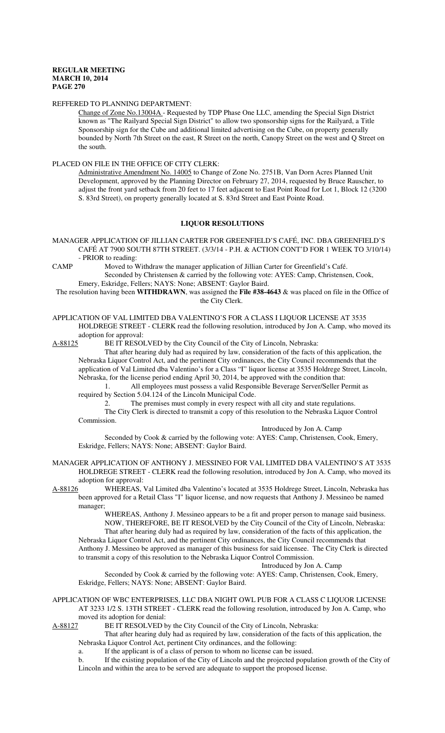#### REFFERED TO PLANNING DEPARTMENT:

Change of Zone No.13004A - Requested by TDP Phase One LLC, amending the Special Sign District known as "The Railyard Special Sign District" to allow two sponsorship signs for the Railyard, a Title Sponsorship sign for the Cube and additional limited advertising on the Cube, on property generally bounded by North 7th Street on the east, R Street on the north, Canopy Street on the west and Q Street on the south.

#### PLACED ON FILE IN THE OFFICE OF CITY CLERK:

Administrative Amendment No. 14005 to Change of Zone No. 2751B, Van Dorn Acres Planned Unit Development, approved by the Planning Director on February 27, 2014, requested by Bruce Rauscher, to adjust the front yard setback from 20 feet to 17 feet adjacent to East Point Road for Lot 1, Block 12 (3200 S. 83rd Street), on property generally located at S. 83rd Street and East Pointe Road.

#### **LIQUOR RESOLUTIONS**

MANAGER APPLICATION OF JILLIAN CARTER FOR GREENFIELD'S CAFÉ, INC. DBA GREENFIELD'S CAFÉ AT 7900 SOUTH 87TH STREET. (3/3/14 - P.H. & ACTION CONT'D FOR 1 WEEK TO 3/10/14) - PRIOR to reading:

CAMP Moved to Withdraw the manager application of Jillian Carter for Greenfield's Café. Seconded by Christensen & carried by the following vote: AYES: Camp, Christensen, Cook, Emery, Eskridge, Fellers; NAYS: None; ABSENT: Gaylor Baird.

The resolution having been **WITHDRAWN**, was assigned the **File #38-4643** & was placed on file in the Office of the City Clerk.

APPLICATION OF VAL LIMITED DBA VALENTINO'S FOR A CLASS I LIQUOR LICENSE AT 3535 HOLDREGE STREET - CLERK read the following resolution, introduced by Jon A. Camp, who moved its

adoption for approval:<br>A-88125 BE IT RESOI BE IT RESOLVED by the City Council of the City of Lincoln, Nebraska:

That after hearing duly had as required by law, consideration of the facts of this application, the Nebraska Liquor Control Act, and the pertinent City ordinances, the City Council recommends that the application of Val Limited dba Valentino's for a Class "I" liquor license at 3535 Holdrege Street, Lincoln, Nebraska, for the license period ending April 30, 2014, be approved with the condition that:

1. All employees must possess a valid Responsible Beverage Server/Seller Permit as required by Section 5.04.124 of the Lincoln Municipal Code.

2. The premises must comply in every respect with all city and state regulations.

The City Clerk is directed to transmit a copy of this resolution to the Nebraska Liquor Control Commission.

Introduced by Jon A. Camp

Seconded by Cook & carried by the following vote: AYES: Camp, Christensen, Cook, Emery, Eskridge, Fellers; NAYS: None; ABSENT: Gaylor Baird.

MANAGER APPLICATION OF ANTHONY J. MESSINEO FOR VAL LIMITED DBA VALENTINO'S AT 3535 HOLDREGE STREET - CLERK read the following resolution, introduced by Jon A. Camp, who moved its adoption for approval:

A-88126 WHEREAS, Val Limited dba Valentino's located at 3535 Holdrege Street, Lincoln, Nebraska has been approved for a Retail Class "I" liquor license, and now requests that Anthony J. Messineo be named manager;

WHEREAS, Anthony J. Messineo appears to be a fit and proper person to manage said business. NOW, THEREFORE, BE IT RESOLVED by the City Council of the City of Lincoln, Nebraska: That after hearing duly had as required by law, consideration of the facts of this application, the Nebraska Liquor Control Act, and the pertinent City ordinances, the City Council recommends that

Anthony J. Messineo be approved as manager of this business for said licensee. The City Clerk is directed to transmit a copy of this resolution to the Nebraska Liquor Control Commission. Introduced by Jon A. Camp

Seconded by Cook & carried by the following vote: AYES: Camp, Christensen, Cook, Emery, Eskridge, Fellers; NAYS: None; ABSENT: Gaylor Baird.

#### APPLICATION OF WBC ENTERPRISES, LLC DBA NIGHT OWL PUB FOR A CLASS C LIQUOR LICENSE AT 3233 1/2 S. 13TH STREET - CLERK read the following resolution, introduced by Jon A. Camp, who moved its adoption for denial:

A-88127 BE IT RESOLVED by the City Council of the City of Lincoln, Nebraska:

That after hearing duly had as required by law, consideration of the facts of this application, the Nebraska Liquor Control Act, pertinent City ordinances, and the following:

a. If the applicant is of a class of person to whom no license can be issued.

b. If the existing population of the City of Lincoln and the projected population growth of the City of Lincoln and within the area to be served are adequate to support the proposed license.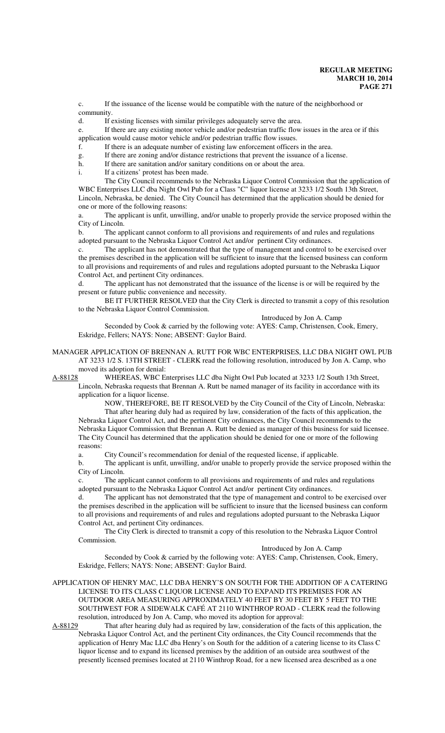c. If the issuance of the license would be compatible with the nature of the neighborhood or community.

d. If existing licenses with similar privileges adequately serve the area.

e. If there are any existing motor vehicle and/or pedestrian traffic flow issues in the area or if this application would cause motor vehicle and/or pedestrian traffic flow issues.

f. If there is an adequate number of existing law enforcement officers in the area.

g. If there are zoning and/or distance restrictions that prevent the issuance of a license.

h. If there are sanitation and/or sanitary conditions on or about the area.

i. If a citizens' protest has been made.

The City Council recommends to the Nebraska Liquor Control Commission that the application of WBC Enterprises LLC dba Night Owl Pub for a Class "C" liquor license at 3233 1/2 South 13th Street, Lincoln, Nebraska, be denied. The City Council has determined that the application should be denied for one or more of the following reasons:

a. The applicant is unfit, unwilling, and/or unable to properly provide the service proposed within the City of Lincoln.

b. The applicant cannot conform to all provisions and requirements of and rules and regulations adopted pursuant to the Nebraska Liquor Control Act and/or pertinent City ordinances.

c. The applicant has not demonstrated that the type of management and control to be exercised over the premises described in the application will be sufficient to insure that the licensed business can conform to all provisions and requirements of and rules and regulations adopted pursuant to the Nebraska Liquor Control Act, and pertinent City ordinances.

d. The applicant has not demonstrated that the issuance of the license is or will be required by the present or future public convenience and necessity.

BE IT FURTHER RESOLVED that the City Clerk is directed to transmit a copy of this resolution to the Nebraska Liquor Control Commission.

Introduced by Jon A. Camp

Seconded by Cook & carried by the following vote: AYES: Camp, Christensen, Cook, Emery, Eskridge, Fellers; NAYS: None; ABSENT: Gaylor Baird.

MANAGER APPLICATION OF BRENNAN A. RUTT FOR WBC ENTERPRISES, LLC DBA NIGHT OWL PUB AT 3233 1/2 S. 13TH STREET - CLERK read the following resolution, introduced by Jon A. Camp, who moved its adoption for denial:

A-88128 WHEREAS, WBC Enterprises LLC dba Night Owl Pub located at 3233 1/2 South 13th Street, Lincoln, Nebraska requests that Brennan A. Rutt be named manager of its facility in accordance with its

application for a liquor license.

NOW, THEREFORE, BE IT RESOLVED by the City Council of the City of Lincoln, Nebraska: That after hearing duly had as required by law, consideration of the facts of this application, the Nebraska Liquor Control Act, and the pertinent City ordinances, the City Council recommends to the Nebraska Liquor Commission that Brennan A. Rutt be denied as manager of this business for said licensee. The City Council has determined that the application should be denied for one or more of the following reasons:

a. City Council's recommendation for denial of the requested license, if applicable.

b. The applicant is unfit, unwilling, and/or unable to properly provide the service proposed within the City of Lincoln.

c. The applicant cannot conform to all provisions and requirements of and rules and regulations adopted pursuant to the Nebraska Liquor Control Act and/or pertinent City ordinances.

d. The applicant has not demonstrated that the type of management and control to be exercised over the premises described in the application will be sufficient to insure that the licensed business can conform to all provisions and requirements of and rules and regulations adopted pursuant to the Nebraska Liquor Control Act, and pertinent City ordinances.

The City Clerk is directed to transmit a copy of this resolution to the Nebraska Liquor Control Commission.

#### Introduced by Jon A. Camp

Seconded by Cook & carried by the following vote: AYES: Camp, Christensen, Cook, Emery, Eskridge, Fellers; NAYS: None; ABSENT: Gaylor Baird.

APPLICATION OF HENRY MAC, LLC DBA HENRY'S ON SOUTH FOR THE ADDITION OF A CATERING LICENSE TO ITS CLASS C LIQUOR LICENSE AND TO EXPAND ITS PREMISES FOR AN OUTDOOR AREA MEASURING APPROXIMATELY 40 FEET BY 30 FEET BY 5 FEET TO THE SOUTHWEST FOR A SIDEWALK CAFÉ AT 2110 WINTHROP ROAD - CLERK read the following

resolution, introduced by Jon A. Camp, who moved its adoption for approval:<br>A-88129 That after hearing duly had as required by law, consideration of the fa That after hearing duly had as required by law, consideration of the facts of this application, the Nebraska Liquor Control Act, and the pertinent City ordinances, the City Council recommends that the application of Henry Mac LLC dba Henry's on South for the addition of a catering license to its Class C liquor license and to expand its licensed premises by the addition of an outside area southwest of the presently licensed premises located at 2110 Winthrop Road, for a new licensed area described as a one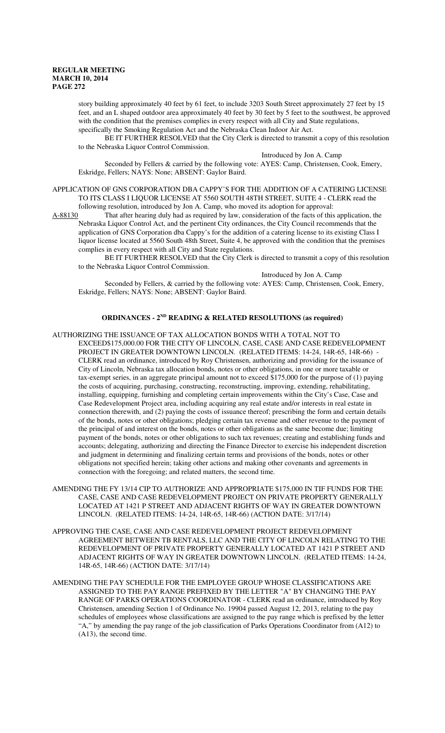story building approximately 40 feet by 61 feet, to include 3203 South Street approximately 27 feet by 15 feet, and an L shaped outdoor area approximately 40 feet by 30 feet by 5 feet to the southwest, be approved with the condition that the premises complies in every respect with all City and State regulations, specifically the Smoking Regulation Act and the Nebraska Clean Indoor Air Act.

BE IT FURTHER RESOLVED that the City Clerk is directed to transmit a copy of this resolution to the Nebraska Liquor Control Commission.

Introduced by Jon A. Camp

Seconded by Fellers & carried by the following vote: AYES: Camp, Christensen, Cook, Emery, Eskridge, Fellers; NAYS: None; ABSENT: Gaylor Baird.

APPLICATION OF GNS CORPORATION DBA CAPPY'S FOR THE ADDITION OF A CATERING LICENSE TO ITS CLASS I LIQUOR LICENSE AT 5560 SOUTH 48TH STREET, SUITE 4 - CLERK read the following resolution, introduced by Jon A. Camp, who moved its adoption for approval:

A-88130 That after hearing duly had as required by law, consideration of the facts of this application, the Nebraska Liquor Control Act, and the pertinent City ordinances, the City Council recommends that the application of GNS Corporation dba Cappy's for the addition of a catering license to its existing Class I liquor license located at 5560 South 48th Street, Suite 4, be approved with the condition that the premises complies in every respect with all City and State regulations.

BE IT FURTHER RESOLVED that the City Clerk is directed to transmit a copy of this resolution to the Nebraska Liquor Control Commission.

Introduced by Jon A. Camp

Seconded by Fellers, & carried by the following vote: AYES: Camp, Christensen, Cook, Emery, Eskridge, Fellers; NAYS: None; ABSENT: Gaylor Baird.

#### **ORDINANCES - 2ND READING & RELATED RESOLUTIONS (as required)**

#### AUTHORIZING THE ISSUANCE OF TAX ALLOCATION BONDS WITH A TOTAL NOT TO EXCEED\$175,000.00 FOR THE CITY OF LINCOLN, CASE, CASE AND CASE REDEVELOPMENT PROJECT IN GREATER DOWNTOWN LINCOLN. (RELATED ITEMS: 14-24, 14R-65, 14R-66) CLERK read an ordinance, introduced by Roy Christensen, authorizing and providing for the issuance of City of Lincoln, Nebraska tax allocation bonds, notes or other obligations, in one or more taxable or tax-exempt series, in an aggregate principal amount not to exceed \$175,000 for the purpose of (1) paying the costs of acquiring, purchasing, constructing, reconstructing, improving, extending, rehabilitating, installing, equipping, furnishing and completing certain improvements within the City's Case, Case and Case Redevelopment Project area, including acquiring any real estate and/or interests in real estate in connection therewith, and (2) paying the costs of issuance thereof; prescribing the form and certain details of the bonds, notes or other obligations; pledging certain tax revenue and other revenue to the payment of the principal of and interest on the bonds, notes or other obligations as the same become due; limiting payment of the bonds, notes or other obligations to such tax revenues; creating and establishing funds and accounts; delegating, authorizing and directing the Finance Director to exercise his independent discretion and judgment in determining and finalizing certain terms and provisions of the bonds, notes or other obligations not specified herein; taking other actions and making other covenants and agreements in connection with the foregoing; and related matters, the second time.

- AMENDING THE FY 13/14 CIP TO AUTHORIZE AND APPROPRIATE \$175,000 IN TIF FUNDS FOR THE CASE, CASE AND CASE REDEVELOPMENT PROJECT ON PRIVATE PROPERTY GENERALLY LOCATED AT 1421 P STREET AND ADJACENT RIGHTS OF WAY IN GREATER DOWNTOWN LINCOLN. (RELATED ITEMS: 14-24, 14R-65, 14R-66) (ACTION DATE: 3/17/14)
- APPROVING THE CASE, CASE AND CASE REDEVELOPMENT PROJECT REDEVELOPMENT AGREEMENT BETWEEN TB RENTALS, LLC AND THE CITY OF LINCOLN RELATING TO THE REDEVELOPMENT OF PRIVATE PROPERTY GENERALLY LOCATED AT 1421 P STREET AND ADJACENT RIGHTS OF WAY IN GREATER DOWNTOWN LINCOLN. (RELATED ITEMS: 14-24, 14R-65, 14R-66) (ACTION DATE: 3/17/14)
- AMENDING THE PAY SCHEDULE FOR THE EMPLOYEE GROUP WHOSE CLASSIFICATIONS ARE ASSIGNED TO THE PAY RANGE PREFIXED BY THE LETTER "A" BY CHANGING THE PAY RANGE OF PARKS OPERATIONS COORDINATOR - CLERK read an ordinance, introduced by Roy Christensen, amending Section 1 of Ordinance No. 19904 passed August 12, 2013, relating to the pay schedules of employees whose classifications are assigned to the pay range which is prefixed by the letter "A," by amending the pay range of the job classification of Parks Operations Coordinator from (A12) to (A13), the second time.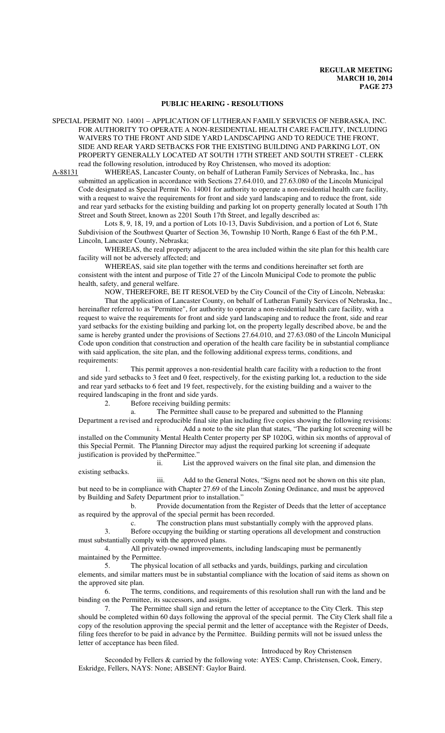#### **PUBLIC HEARING - RESOLUTIONS**

SPECIAL PERMIT NO. 14001 – APPLICATION OF LUTHERAN FAMILY SERVICES OF NEBRASKA, INC. FOR AUTHORITY TO OPERATE A NON-RESIDENTIAL HEALTH CARE FACILITY, INCLUDING WAIVERS TO THE FRONT AND SIDE YARD LANDSCAPING AND TO REDUCE THE FRONT, SIDE AND REAR YARD SETBACKS FOR THE EXISTING BUILDING AND PARKING LOT, ON PROPERTY GENERALLY LOCATED AT SOUTH 17TH STREET AND SOUTH STREET - CLERK read the following resolution, introduced by Roy Christensen, who moved its adoption:

A-88131 WHEREAS, Lancaster County, on behalf of Lutheran Family Services of Nebraska, Inc., has submitted an application in accordance with Sections 27.64.010, and 27.63.080 of the Lincoln Municipal Code designated as Special Permit No. 14001 for authority to operate a non-residential health care facility, with a request to waive the requirements for front and side yard landscaping and to reduce the front, side and rear yard setbacks for the existing building and parking lot on property generally located at South 17th Street and South Street, known as 2201 South 17th Street, and legally described as:

Lots 8, 9, 18, 19, and a portion of Lots 10-13, Davis Subdivision, and a portion of Lot 6, State Subdivision of the Southwest Quarter of Section 36, Township 10 North, Range 6 East of the 6th P.M., Lincoln, Lancaster County, Nebraska;

WHEREAS, the real property adjacent to the area included within the site plan for this health care facility will not be adversely affected; and

WHEREAS, said site plan together with the terms and conditions hereinafter set forth are consistent with the intent and purpose of Title 27 of the Lincoln Municipal Code to promote the public health, safety, and general welfare.

NOW, THEREFORE, BE IT RESOLVED by the City Council of the City of Lincoln, Nebraska:

That the application of Lancaster County, on behalf of Lutheran Family Services of Nebraska, Inc., hereinafter referred to as "Permittee", for authority to operate a non-residential health care facility, with a request to waive the requirements for front and side yard landscaping and to reduce the front, side and rear yard setbacks for the existing building and parking lot, on the property legally described above, be and the same is hereby granted under the provisions of Sections 27.64.010, and 27.63.080 of the Lincoln Municipal Code upon condition that construction and operation of the health care facility be in substantial compliance with said application, the site plan, and the following additional express terms, conditions, and requirements:

1. This permit approves a non-residential health care facility with a reduction to the front and side yard setbacks to 3 feet and 0 feet, respectively, for the existing parking lot, a reduction to the side and rear yard setbacks to 6 feet and 19 feet, respectively, for the existing building and a waiver to the required landscaping in the front and side yards.

2. Before receiving building permits:

a. The Permittee shall cause to be prepared and submitted to the Planning Department a revised and reproducible final site plan including five copies showing the following revisions:

i. Add a note to the site plan that states, "The parking lot screening will be installed on the Community Mental Health Center property per SP 1020G, within six months of approval of this Special Permit. The Planning Director may adjust the required parking lot screening if adequate justification is provided by thePermittee."

ii. List the approved waivers on the final site plan, and dimension the existing setbacks.

iii. Add to the General Notes, "Signs need not be shown on this site plan, but need to be in compliance with Chapter 27.69 of the Lincoln Zoning Ordinance, and must be approved by Building and Safety Department prior to installation."

b. Provide documentation from the Register of Deeds that the letter of acceptance as required by the approval of the special permit has been recorded.

c. The construction plans must substantially comply with the approved plans.

3. Before occupying the building or starting operations all development and construction must substantially comply with the approved plans.

4. All privately-owned improvements, including landscaping must be permanently maintained by the Permittee.

5. The physical location of all setbacks and yards, buildings, parking and circulation elements, and similar matters must be in substantial compliance with the location of said items as shown on the approved site plan.

6. The terms, conditions, and requirements of this resolution shall run with the land and be binding on the Permittee, its successors, and assigns.

7. The Permittee shall sign and return the letter of acceptance to the City Clerk. This step should be completed within 60 days following the approval of the special permit. The City Clerk shall file a copy of the resolution approving the special permit and the letter of acceptance with the Register of Deeds, filing fees therefor to be paid in advance by the Permittee. Building permits will not be issued unless the letter of acceptance has been filed.

#### Introduced by Roy Christensen

Seconded by Fellers & carried by the following vote: AYES: Camp, Christensen, Cook, Emery, Eskridge, Fellers, NAYS: None; ABSENT: Gaylor Baird.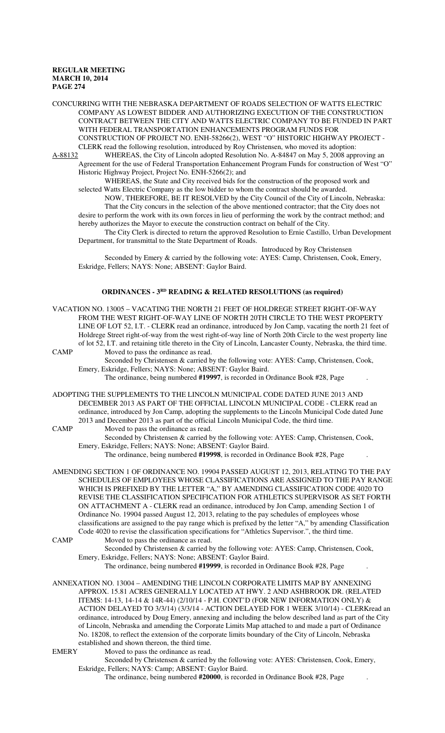CONCURRING WITH THE NEBRASKA DEPARTMENT OF ROADS SELECTION OF WATTS ELECTRIC COMPANY AS LOWEST BIDDER AND AUTHORIZING EXECUTION OF THE CONSTRUCTION CONTRACT BETWEEN THE CITY AND WATTS ELECTRIC COMPANY TO BE FUNDED IN PART WITH FEDERAL TRANSPORTATION ENHANCEMENTS PROGRAM FUNDS FOR CONSTRUCTION OF PROJECT NO. ENH-58266(2), WEST "O" HISTORIC HIGHWAY PROJECT - CLERK read the following resolution, introduced by Roy Christensen, who moved its adoption:

A-88132 WHEREAS, the City of Lincoln adopted Resolution No. A-84847 on May 5, 2008 approving an Agreement for the use of Federal Transportation Enhancement Program Funds for construction of West "O" Historic Highway Project, Project No. ENH-5266(2); and

WHEREAS, the State and City received bids for the construction of the proposed work and selected Watts Electric Company as the low bidder to whom the contract should be awarded.

NOW, THEREFORE, BE IT RESOLVED by the City Council of the City of Lincoln, Nebraska: That the City concurs in the selection of the above mentioned contractor; that the City does not desire to perform the work with its own forces in lieu of performing the work by the contract method; and hereby authorizes the Mayor to execute the construction contract on behalf of the City.

The City Clerk is directed to return the approved Resolution to Ernie Castillo, Urban Development Department, for transmittal to the State Department of Roads.

Introduced by Roy Christensen

Seconded by Emery & carried by the following vote: AYES: Camp, Christensen, Cook, Emery, Eskridge, Fellers; NAYS: None; ABSENT: Gaylor Baird.

# **ORDINANCES - 3RD READING & RELATED RESOLUTIONS (as required)**

VACATION NO. 13005 – VACATING THE NORTH 21 FEET OF HOLDREGE STREET RIGHT-OF-WAY FROM THE WEST RIGHT-OF-WAY LINE OF NORTH 20TH CIRCLE TO THE WEST PROPERTY LINE OF LOT 52, I.T. - CLERK read an ordinance, introduced by Jon Camp, vacating the north 21 feet of Holdrege Street right-of-way from the west right-of-way line of North 20th Circle to the west property line of lot 52, I.T. and retaining title thereto in the City of Lincoln, Lancaster County, Nebraska, the third time.

CAMP Moved to pass the ordinance as read. Seconded by Christensen & carried by the following vote: AYES: Camp, Christensen, Cook,

Emery, Eskridge, Fellers; NAYS: None; ABSENT: Gaylor Baird.

The ordinance, being numbered **#19997**, is recorded in Ordinance Book #28, Page .

- ADOPTING THE SUPPLEMENTS TO THE LINCOLN MUNICIPAL CODE DATED JUNE 2013 AND DECEMBER 2013 AS PART OF THE OFFICIAL LINCOLN MUNICIPAL CODE - CLERK read an ordinance, introduced by Jon Camp, adopting the supplements to the Lincoln Municipal Code dated June 2013 and December 2013 as part of the official Lincoln Municipal Code, the third time.
- CAMP Moved to pass the ordinance as read. Seconded by Christensen & carried by the following vote: AYES: Camp, Christensen, Cook,

Emery, Eskridge, Fellers; NAYS: None; ABSENT: Gaylor Baird.

The ordinance, being numbered **#19998**, is recorded in Ordinance Book #28, Page .

AMENDING SECTION 1 OF ORDINANCE NO. 19904 PASSED AUGUST 12, 2013, RELATING TO THE PAY SCHEDULES OF EMPLOYEES WHOSE CLASSIFICATIONS ARE ASSIGNED TO THE PAY RANGE WHICH IS PREFIXED BY THE LETTER "A," BY AMENDING CLASSIFICATION CODE 4020 TO REVISE THE CLASSIFICATION SPECIFICATION FOR ATHLETICS SUPERVISOR AS SET FORTH ON ATTACHMENT A - CLERK read an ordinance, introduced by Jon Camp, amending Section 1 of Ordinance No. 19904 passed August 12, 2013, relating to the pay schedules of employees whose classifications are assigned to the pay range which is prefixed by the letter "A," by amending Classification Code 4020 to revise the classification specifications for "Athletics Supervisor.", the third time.

CAMP Moved to pass the ordinance as read.

Seconded by Christensen & carried by the following vote: AYES: Camp, Christensen, Cook, Emery, Eskridge, Fellers; NAYS: None; ABSENT: Gaylor Baird.

The ordinance, being numbered **#19999**, is recorded in Ordinance Book #28, Page .

ANNEXATION NO. 13004 – AMENDING THE LINCOLN CORPORATE LIMITS MAP BY ANNEXING APPROX. 15.81 ACRES GENERALLY LOCATED AT HWY. 2 AND ASHBROOK DR. (RELATED ITEMS: 14-13, 14-14 & 14R-44) (2/10/14 - P.H. CONT'D (FOR NEW INFORMATION ONLY) & ACTION DELAYED TO 3/3/14) (3/3/14 - ACTION DELAYED FOR 1 WEEK 3/10/14) - CLERKread an ordinance, introduced by Doug Emery, annexing and including the below described land as part of the City of Lincoln, Nebraska and amending the Corporate Limits Map attached to and made a part of Ordinance No. 18208, to reflect the extension of the corporate limits boundary of the City of Lincoln, Nebraska established and shown thereon, the third time.

EMERY Moved to pass the ordinance as read.

Seconded by Christensen & carried by the following vote: AYES: Christensen, Cook, Emery, Eskridge, Fellers; NAYS: Camp; ABSENT: Gaylor Baird.

The ordinance, being numbered **#20000**, is recorded in Ordinance Book #28, Page .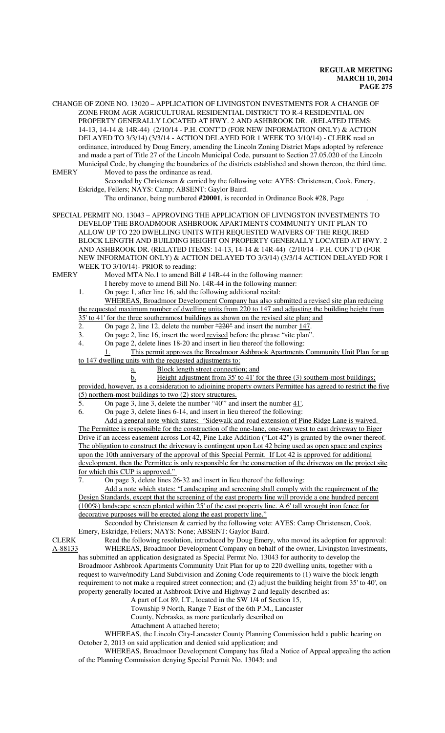CHANGE OF ZONE NO. 13020 – APPLICATION OF LIVINGSTON INVESTMENTS FOR A CHANGE OF ZONE FROM AGR AGRICULTURAL RESIDENTIAL DISTRICT TO R-4 RESIDENTIAL ON PROPERTY GENERALLY LOCATED AT HWY. 2 AND ASHBROOK DR. (RELATED ITEMS: 14-13, 14-14 & 14R-44) (2/10/14 - P.H. CONT'D (FOR NEW INFORMATION ONLY) & ACTION DELAYED TO 3/3/14) (3/3/14 - ACTION DELAYED FOR 1 WEEK TO 3/10/14) - CLERK read an ordinance, introduced by Doug Emery, amending the Lincoln Zoning District Maps adopted by reference and made a part of Title 27 of the Lincoln Municipal Code, pursuant to Section 27.05.020 of the Lincoln Municipal Code, by changing the boundaries of the districts established and shown thereon, the third time. EMERY Moved to pass the ordinance as read.

Seconded by Christensen & carried by the following vote: AYES: Christensen, Cook, Emery, Eskridge, Fellers; NAYS: Camp; ABSENT: Gaylor Baird.

The ordinance, being numbered **#20001**, is recorded in Ordinance Book #28, Page .

SPECIAL PERMIT NO. 13043 – APPROVING THE APPLICATION OF LIVINGSTON INVESTMENTS TO DEVELOP THE BROADMOOR ASHBROOK APARTMENTS COMMUNITY UNIT PLAN TO ALLOW UP TO 220 DWELLING UNITS WITH REQUESTED WAIVERS OF THE REQUIRED BLOCK LENGTH AND BUILDING HEIGHT ON PROPERTY GENERALLY LOCATED AT HWY. 2 AND ASHBROOK DR. (RELATED ITEMS: 14-13, 14-14 & 14R-44) (2/10/14 - P.H. CONT'D (FOR NEW INFORMATION ONLY) & ACTION DELAYED TO 3/3/14) (3/3/14 ACTION DELAYED FOR 1 WEEK TO 3/10/14)- PRIOR to reading:

EMERY Moved MTA No.1 to amend Bill # 14R-44 in the following manner:

I hereby move to amend Bill No. 14R-44 in the following manner:

1. On page 1, after line 16, add the following additional recital:

WHEREAS, Broadmoor Development Company has also submitted a revised site plan reducing the requested maximum number of dwelling units from 220 to 147 and adjusting the building height from 35' to 41' for the three southernmost buildings as shown on the revised site plan; and

2. On page 2, line 12, delete the number  $\frac{4220^{\circ}}{220^{\circ}}$  and insert the number 147.

3. On page 2, line 16, insert the word revised before the phrase "site plan".

4. On page 2, delete lines 18-20 and insert in lieu thereof the following:

1. This permit approves the Broadmoor Ashbrook Apartments Community Unit Plan for up to 147 dwelling units with the requested adjustments to:

a. Block length street connection; and

b. Height adjustment from 35' to 41' for the three (3) southern-most buildings;

provided, however, as a consideration to adjoining property owners Permittee has agreed to restrict the five (5) northern-most buildings to two (2) story structures.

5. On page 3, line 3, delete the number "40'" and insert the number 41'.

6. On page 3, delete lines 6-14, and insert in lieu thereof the following:

Add a general note which states: "Sidewalk and road extension of Pine Ridge Lane is waived. The Permittee is responsible for the construction of the one-lane, one-way west to east driveway to Eiger Drive if an access easement across Lot 42, Pine Lake Addition ("Lot 42") is granted by the owner thereof. The obligation to construct the driveway is contingent upon Lot 42 being used as open space and expires upon the 10th anniversary of the approval of this Special Permit. If Lot 42 is approved for additional development, then the Permittee is only responsible for the construction of the driveway on the project site for which this CUP is approved."

7. On page 3, delete lines 26-32 and insert in lieu thereof the following:

Add a note which states: "Landscaping and screening shall comply with the requirement of the Design Standards, except that the screening of the east property line will provide a one hundred percent (100%) landscape screen planted within 25' of the east property line. A 6' tall wrought iron fence for decorative purposes will be erected along the east property line."

Seconded by Christensen & carried by the following vote: AYES: Camp Christensen, Cook, Emery, Eskridge, Fellers; NAYS: None; ABSENT: Gaylor Baird.

CLERK Read the following resolution, introduced by Doug Emery, who moved its adoption for approval: A-88133 WHEREAS, Broadmoor Development Company on behalf of the owner, Livingston Investments, has submitted an application designated as Special Permit No. 13043 for authority to develop the Broadmoor Ashbrook Apartments Community Unit Plan for up to 220 dwelling units, together with a

request to waive/modify Land Subdivision and Zoning Code requirements to (1) waive the block length requirement to not make a required street connection; and (2) adjust the building height from 35' to 40', on property generally located at Ashbrook Drive and Highway 2 and legally described as:

A part of Lot 89, I.T., located in the SW 1/4 of Section 15,

Township 9 North, Range 7 East of the 6th P.M., Lancaster

County, Nebraska, as more particularly described on

Attachment A attached hereto;

WHEREAS, the Lincoln City-Lancaster County Planning Commission held a public hearing on October 2, 2013 on said application and denied said application; and

WHEREAS, Broadmoor Development Company has filed a Notice of Appeal appealing the action of the Planning Commission denying Special Permit No. 13043; and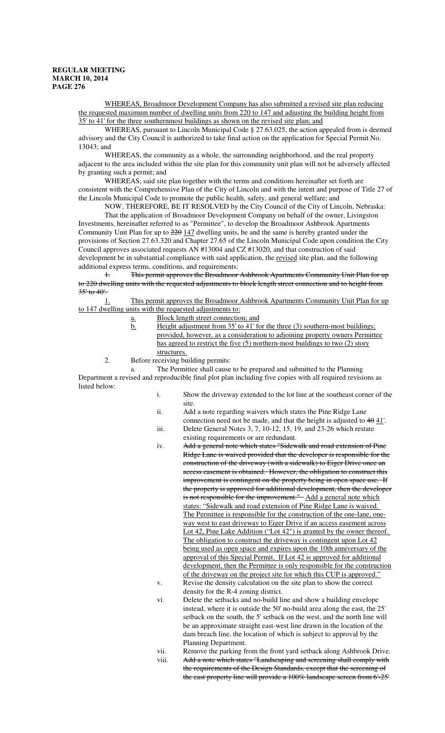WHEREAS, Broadmoor Development Company has also submitted a revised site plan reducing the requested maximum number of dwelling units from 220 to 147 and adjusting the building height from 35' to 41' for the three southernmost buildings as shown on the revised site plan; and

WHEREAS, pursuant to Lincoln Municipal Code § 27.63.025, the action appealed from is deemed advisory and the City Council is authorized to take final action on the application for Special Permit No. 13043; and

WHEREAS, the community as a whole, the surrounding neighborhood, and the real property adjacent to the area included within the site plan for this community unit plan will not be adversely affected by granting such a permit; and

WHEREAS, said site plan together with the terms and conditions hereinafter set forth are consistent with the Comprehensive Plan of the City of Lincoln and with the intent and purpose of Title 27 of the Lincoln Municipal Code to promote the public health, safety, and general welfare; and

NOW, THEREFORE, BE IT RESOLVED by the City Council of the City of Lincoln, Nebraska: That the application of Broadmoor Development Company on behalf of the owner, Livingston Investments, hereinafter referred to as "Permittee", to develop the Broadmoor Ashbrook Apartments Community Unit Plan for up to  $\frac{220}{147}$  dwelling units, be and the same is hereby granted under the provisions of Section 27.63.320 and Chapter 27.65 of the Lincoln Municipal Code upon condition the City Council approves associated requests AN #13004 and CZ #13020, and that construction of said development be in substantial compliance with said application, the revised site plan, and the following additional express terms, conditions, and requirements:

1. This permit approves the Broadmoor Ashbrook Apartments Community Unit Plan for up to 220 dwelling units with the requested adjustments to block length street connection and to height from 35' to 40'.

1. This permit approves the Broadmoor Ashbrook Apartments Community Unit Plan for up to 147 dwelling units with the requested adjustments to:

- a. Block length street connection; and
- b. Height adjustment from 35' to 41' for the three (3) southern-most buildings; provided, however, as a consideration to adjoining property owners Permittee has agreed to restrict the five (5) northern-most buildings to two (2) story structures.
- 2. Before receiving building permits:

a. The Permittee shall cause to be prepared and submitted to the Planning Department a revised and reproducible final plot plan including five copies with all required revisions as listed below:

- i. Show the driveway extended to the lot line at the southeast corner of the site.
- ii. Add a note regarding waivers which states the Pine Ridge Lane connection need not be made, and that the height is adjusted to  $40 \frac{41}{1}$ .
- iii. Delete General Notes 3, 7, 10-12, 15, 19, and 23-26 which restate existing requirements or are redundant.
- iv. Add a general note which states "Sidewalk and road extension of Pine Ridge Lane is waived provided that the developer is responsible for the construction of the driveway (with a sidewalk) to Eiger Drive once an access easement is obtained. However, the obligation to construct this improvement is contingent on the property being in open space use. If the property is approved for additional development, then the developer is not responsible for the improvement." Add a general note which states: "Sidewalk and road extension of Pine Ridge Lane is waived. The Permittee is responsible for the construction of the one-lane, oneway west to east driveway to Eiger Drive if an access easement across Lot 42, Pine Lake Addition ("Lot 42") is granted by the owner thereof. The obligation to construct the driveway is contingent upon Lot 42 being used as open space and expires upon the 10th anniversary of the approval of this Special Permit. If Lot 42 is approved for additional development, then the Permittee is only responsible for the construction of the driveway on the project site for which this CUP is approved." v. Revise the density calculation on the site plan to show the correct
- density for the R-4 zoning district.
- vi. Delete the setbacks and no-build line and show a building envelope instead, where it is outside the 50' no-build area along the east, the 25' setback on the south, the 5' setback on the west, and the north line will be an approximate straight east-west line drawn in the location of the dam breach line, the location of which is subject to approval by the Planning Department.
- vii. Remove the parking from the front yard setback along Ashbrook Drive.
- viii. Add a note which states "Landscaping and sereening shall comply with the requirements of the Design Standards, except that the screening of the east property line will provide a 100% landscape screen from 6'-25'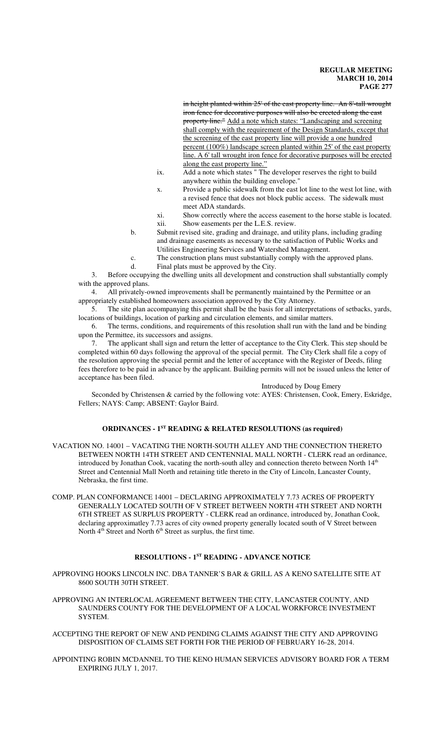in height planted within 25' of the east property line. An 8'-tall wrought iron fence for decorative purposes will also be erected along the east property line." Add a note which states: "Landscaping and screening shall comply with the requirement of the Design Standards, except that the screening of the east property line will provide a one hundred percent (100%) landscape screen planted within 25' of the east property line. A 6' tall wrought iron fence for decorative purposes will be erected along the east property line."

- ix. Add a note which states " The developer reserves the right to build anywhere within the building envelope."
- x. Provide a public sidewalk from the east lot line to the west lot line, with a revised fence that does not block public access. The sidewalk must meet ADA standards.
- xi. Show correctly where the access easement to the horse stable is located. xii. Show easements per the L.E.S. review.
- b. Submit revised site, grading and drainage, and utility plans, including grading and drainage easements as necessary to the satisfaction of Public Works and Utilities Engineering Services and Watershed Management.
- c. The construction plans must substantially comply with the approved plans.
- d. Final plats must be approved by the City.

3. Before occupying the dwelling units all development and construction shall substantially comply with the approved plans.

4. All privately-owned improvements shall be permanently maintained by the Permittee or an appropriately established homeowners association approved by the City Attorney.

5. The site plan accompanying this permit shall be the basis for all interpretations of setbacks, yards, locations of buildings, location of parking and circulation elements, and similar matters.

6. The terms, conditions, and requirements of this resolution shall run with the land and be binding upon the Permittee, its successors and assigns.

7. The applicant shall sign and return the letter of acceptance to the City Clerk. This step should be completed within 60 days following the approval of the special permit. The City Clerk shall file a copy of the resolution approving the special permit and the letter of acceptance with the Register of Deeds, filing fees therefore to be paid in advance by the applicant. Building permits will not be issued unless the letter of acceptance has been filed.

# Introduced by Doug Emery

Seconded by Christensen & carried by the following vote: AYES: Christensen, Cook, Emery, Eskridge, Fellers; NAYS: Camp; ABSENT: Gaylor Baird.

# **ORDINANCES - 1ST READING & RELATED RESOLUTIONS (as required)**

- VACATION NO. 14001 VACATING THE NORTH-SOUTH ALLEY AND THE CONNECTION THERETO BETWEEN NORTH 14TH STREET AND CENTENNIAL MALL NORTH - CLERK read an ordinance, introduced by Jonathan Cook, vacating the north-south alley and connection thereto between North  $14<sup>th</sup>$ Street and Centennial Mall North and retaining title thereto in the City of Lincoln, Lancaster County, Nebraska, the first time.
- COMP. PLAN CONFORMANCE 14001 DECLARING APPROXIMATELY 7.73 ACRES OF PROPERTY GENERALLY LOCATED SOUTH OF V STREET BETWEEN NORTH 4TH STREET AND NORTH 6TH STREET AS SURPLUS PROPERTY - CLERK read an ordinance, introduced by, Jonathan Cook, declaring approximatley 7.73 acres of city owned property generally located south of V Street between North 4<sup>th</sup> Street and North 6<sup>th</sup> Street as surplus, the first time.

# **RESOLUTIONS - 1ST READING - ADVANCE NOTICE**

APPROVING HOOKS LINCOLN INC. DBA TANNER'S BAR & GRILL AS A KENO SATELLITE SITE AT 8600 SOUTH 30TH STREET.

APPROVING AN INTERLOCAL AGREEMENT BETWEEN THE CITY, LANCASTER COUNTY, AND SAUNDERS COUNTY FOR THE DEVELOPMENT OF A LOCAL WORKFORCE INVESTMENT SYSTEM.

ACCEPTING THE REPORT OF NEW AND PENDING CLAIMS AGAINST THE CITY AND APPROVING DISPOSITION OF CLAIMS SET FORTH FOR THE PERIOD OF FEBRUARY 16-28, 2014.

APPOINTING ROBIN MCDANNEL TO THE KENO HUMAN SERVICES ADVISORY BOARD FOR A TERM EXPIRING JULY 1, 2017.